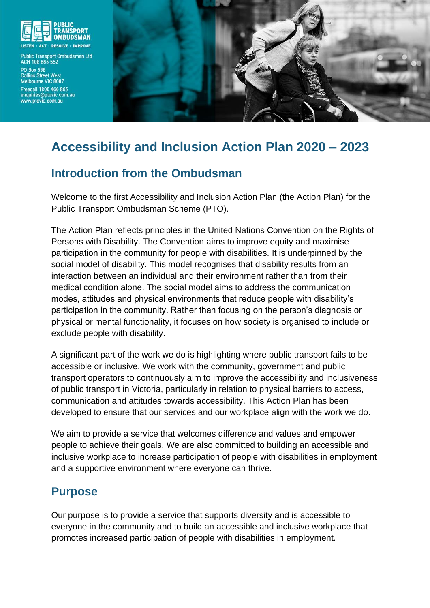

Public Transport Ombudsman Ltd **ACN 108 685 552** PO Box 538<br>Collins Street West Melbourne VIC 8007 Freecall 1800 466 865 enquiries@ptovic.com.au<br>www.ptovic.com.au



# **Accessibility and Inclusion Action Plan 2020 – 2023**

## **Introduction from the Ombudsman**

Welcome to the first Accessibility and Inclusion Action Plan (the Action Plan) for the Public Transport Ombudsman Scheme (PTO).

The Action Plan reflects principles in the United Nations Convention on the Rights of Persons with Disability. The Convention aims to improve equity and maximise participation in the community for people with disabilities. It is underpinned by the social model of disability. This model recognises that disability results from an interaction between an individual and their environment rather than from their medical condition alone. The social model aims to address the communication modes, attitudes and physical environments that reduce people with disability's participation in the community. Rather than focusing on the person's diagnosis or physical or mental functionality, it focuses on how society is organised to include or exclude people with disability.

A significant part of the work we do is highlighting where public transport fails to be accessible or inclusive. We work with the community, government and public transport operators to continuously aim to improve the accessibility and inclusiveness of public transport in Victoria, particularly in relation to physical barriers to access, communication and attitudes towards accessibility. This Action Plan has been developed to ensure that our services and our workplace align with the work we do.

We aim to provide a service that welcomes difference and values and empower people to achieve their goals. We are also committed to building an accessible and inclusive workplace to increase participation of people with disabilities in employment and a supportive environment where everyone can thrive.

## **Purpose**

Our purpose is to provide a service that supports diversity and is accessible to everyone in the community and to build an accessible and inclusive workplace that promotes increased participation of people with disabilities in employment.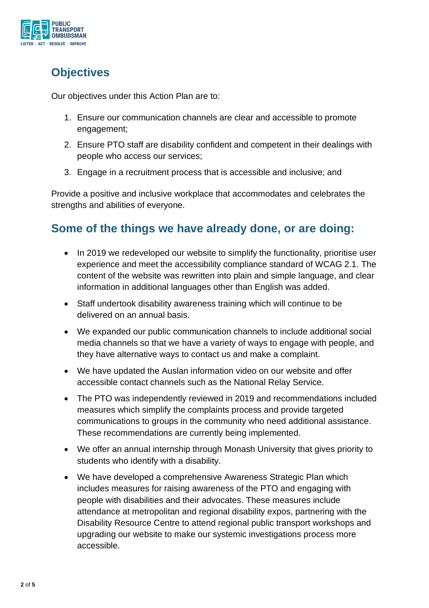

# **Objectives**

Our objectives under this Action Plan are to:

- 1. Ensure our communication channels are clear and accessible to promote engagement;
- 2. Ensure PTO staff are disability confident and competent in their dealings with people who access our services;
- 3. Engage in a recruitment process that is accessible and inclusive; and

Provide a positive and inclusive workplace that accommodates and celebrates the strengths and abilities of everyone.

## **Some of the things we have already done, or are doing:**

- In 2019 we redeveloped our website to simplify the functionality, prioritise user experience and meet the accessibility compliance standard of WCAG 2.1. The content of the website was rewritten into plain and simple language, and clear information in additional languages other than English was added.
- Staff undertook disability awareness training which will continue to be delivered on an annual basis.
- We expanded our public communication channels to include additional social media channels so that we have a variety of ways to engage with people, and they have alternative ways to contact us and make a complaint.
- We have updated the Auslan information video on our website and offer accessible contact channels such as the National Relay Service.
- The PTO was independently reviewed in 2019 and recommendations included measures which simplify the complaints process and provide targeted communications to groups in the community who need additional assistance. These recommendations are currently being implemented.
- We offer an annual internship through Monash University that gives priority to students who identify with a disability.
- We have developed a comprehensive Awareness Strategic Plan which includes measures for raising awareness of the PTO and engaging with people with disabilities and their advocates. These measures include attendance at metropolitan and regional disability expos, partnering with the Disability Resource Centre to attend regional public transport workshops and upgrading our website to make our systemic investigations process more accessible.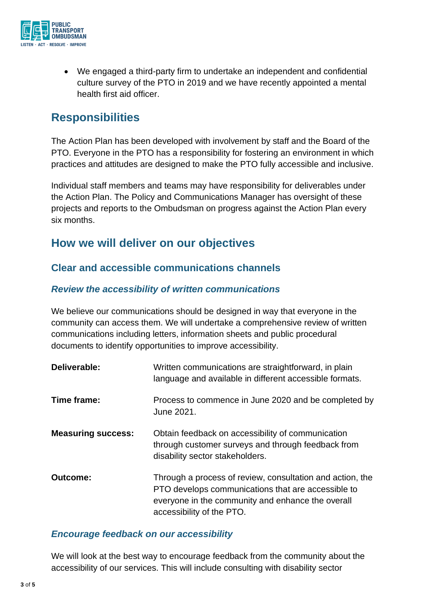

• We engaged a third-party firm to undertake an independent and confidential culture survey of the PTO in 2019 and we have recently appointed a mental health first aid officer.

## **Responsibilities**

The Action Plan has been developed with involvement by staff and the Board of the PTO. Everyone in the PTO has a responsibility for fostering an environment in which practices and attitudes are designed to make the PTO fully accessible and inclusive.

Individual staff members and teams may have responsibility for deliverables under the Action Plan. The Policy and Communications Manager has oversight of these projects and reports to the Ombudsman on progress against the Action Plan every six months.

## **How we will deliver on our objectives**

### **Clear and accessible communications channels**

#### *Review the accessibility of written communications*

We believe our communications should be designed in way that everyone in the community can access them. We will undertake a comprehensive review of written communications including letters, information sheets and public procedural documents to identify opportunities to improve accessibility.

| Deliverable:              | Written communications are straightforward, in plain<br>language and available in different accessible formats.                                                                                   |
|---------------------------|---------------------------------------------------------------------------------------------------------------------------------------------------------------------------------------------------|
| Time frame:               | Process to commence in June 2020 and be completed by<br>June 2021.                                                                                                                                |
| <b>Measuring success:</b> | Obtain feedback on accessibility of communication<br>through customer surveys and through feedback from<br>disability sector stakeholders.                                                        |
| <b>Outcome:</b>           | Through a process of review, consultation and action, the<br>PTO develops communications that are accessible to<br>everyone in the community and enhance the overall<br>accessibility of the PTO. |

#### *Encourage feedback on our accessibility*

We will look at the best way to encourage feedback from the community about the accessibility of our services. This will include consulting with disability sector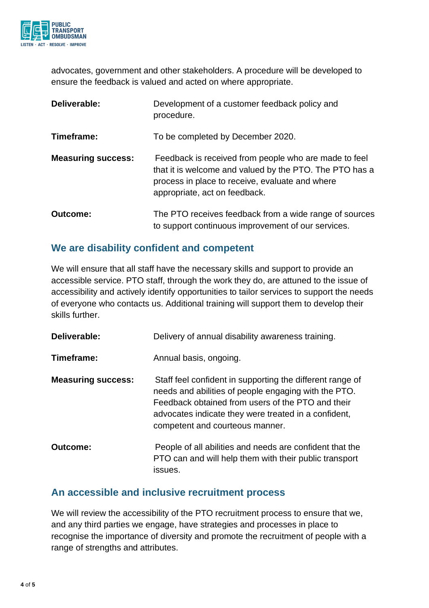

advocates, government and other stakeholders. A procedure will be developed to ensure the feedback is valued and acted on where appropriate.

| Deliverable:              | Development of a customer feedback policy and<br>procedure.                                                                                                                                          |
|---------------------------|------------------------------------------------------------------------------------------------------------------------------------------------------------------------------------------------------|
| Timeframe:                | To be completed by December 2020.                                                                                                                                                                    |
| <b>Measuring success:</b> | Feedback is received from people who are made to feel<br>that it is welcome and valued by the PTO. The PTO has a<br>process in place to receive, evaluate and where<br>appropriate, act on feedback. |
| <b>Outcome:</b>           | The PTO receives feedback from a wide range of sources<br>to support continuous improvement of our services.                                                                                         |

### **We are disability confident and competent**

We will ensure that all staff have the necessary skills and support to provide an accessible service. PTO staff, through the work they do, are attuned to the issue of accessibility and actively identify opportunities to tailor services to support the needs of everyone who contacts us. Additional training will support them to develop their skills further.

| Deliverable:              | Delivery of annual disability awareness training.                                                                                                                                                                                                                 |
|---------------------------|-------------------------------------------------------------------------------------------------------------------------------------------------------------------------------------------------------------------------------------------------------------------|
| Timeframe:                | Annual basis, ongoing.                                                                                                                                                                                                                                            |
| <b>Measuring success:</b> | Staff feel confident in supporting the different range of<br>needs and abilities of people engaging with the PTO.<br>Feedback obtained from users of the PTO and their<br>advocates indicate they were treated in a confident,<br>competent and courteous manner. |
| Outcome:                  | People of all abilities and needs are confident that the<br>PTO can and will help them with their public transport<br>issues.                                                                                                                                     |

#### **An accessible and inclusive recruitment process**

We will review the accessibility of the PTO recruitment process to ensure that we, and any third parties we engage, have strategies and processes in place to recognise the importance of diversity and promote the recruitment of people with a range of strengths and attributes.